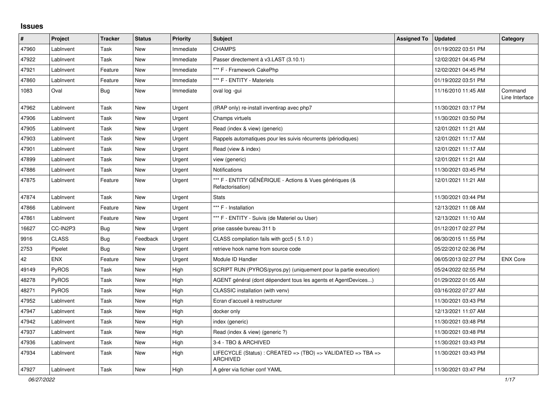## **Issues**

| $\pmb{\#}$ | Project      | <b>Tracker</b> | <b>Status</b> | <b>Priority</b> | <b>Subject</b>                                                                  | <b>Assigned To</b> | <b>Updated</b>      | Category                  |
|------------|--------------|----------------|---------------|-----------------|---------------------------------------------------------------------------------|--------------------|---------------------|---------------------------|
| 47960      | LabInvent    | Task           | New           | Immediate       | <b>CHAMPS</b>                                                                   |                    | 01/19/2022 03:51 PM |                           |
| 47922      | LabInvent    | Task           | New           | Immediate       | Passer directement à v3.LAST (3.10.1)                                           |                    | 12/02/2021 04:45 PM |                           |
| 47921      | LabInvent    | Feature        | New           | Immediate       | *** F - Framework CakePhp                                                       |                    | 12/02/2021 04:45 PM |                           |
| 47860      | LabInvent    | Feature        | <b>New</b>    | Immediate       | *** F - ENTITY - Materiels                                                      |                    | 01/19/2022 03:51 PM |                           |
| 1083       | Oval         | <b>Bug</b>     | New           | Immediate       | oval log -gui                                                                   |                    | 11/16/2010 11:45 AM | Command<br>Line Interface |
| 47962      | LabInvent    | Task           | <b>New</b>    | Urgent          | (IRAP only) re-install inventirap avec php7                                     |                    | 11/30/2021 03:17 PM |                           |
| 47906      | LabInvent    | Task           | New           | Urgent          | Champs virtuels                                                                 |                    | 11/30/2021 03:50 PM |                           |
| 47905      | LabInvent    | Task           | New           | Urgent          | Read (index & view) (generic)                                                   |                    | 12/01/2021 11:21 AM |                           |
| 47903      | LabInvent    | Task           | New           | Urgent          | Rappels automatiques pour les suivis récurrents (périodiques)                   |                    | 12/01/2021 11:17 AM |                           |
| 47901      | LabInvent    | Task           | New           | Urgent          | Read (view & index)                                                             |                    | 12/01/2021 11:17 AM |                           |
| 47899      | LabInvent    | Task           | <b>New</b>    | Urgent          | view (generic)                                                                  |                    | 12/01/2021 11:21 AM |                           |
| 47886      | LabInvent    | Task           | New           | Urgent          | <b>Notifications</b>                                                            |                    | 11/30/2021 03:45 PM |                           |
| 47875      | LabInvent    | Feature        | New           | Urgent          | *** F - ENTITY GÉNÉRIQUE - Actions & Vues génériques (&<br>Refactorisation)     |                    | 12/01/2021 11:21 AM |                           |
| 47874      | LabInvent    | Task           | <b>New</b>    | Urgent          | <b>Stats</b>                                                                    |                    | 11/30/2021 03:44 PM |                           |
| 47866      | LabInvent    | Feature        | New           | Urgent          | *** F - Installation                                                            |                    | 12/13/2021 11:08 AM |                           |
| 47861      | LabInvent    | Feature        | <b>New</b>    | Urgent          | *** F - ENTITY - Suivis (de Materiel ou User)                                   |                    | 12/13/2021 11:10 AM |                           |
| 16627      | CC-IN2P3     | <b>Bug</b>     | <b>New</b>    | Urgent          | prise cassée bureau 311 b                                                       |                    | 01/12/2017 02:27 PM |                           |
| 9916       | <b>CLASS</b> | Bug            | Feedback      | Urgent          | CLASS compilation fails with gcc5 (5.1.0)                                       |                    | 06/30/2015 11:55 PM |                           |
| 2753       | Pipelet      | <b>Bug</b>     | New           | Urgent          | retrieve hook name from source code                                             |                    | 05/22/2012 02:36 PM |                           |
| 42         | <b>ENX</b>   | Feature        | New           | Urgent          | Module ID Handler                                                               |                    | 06/05/2013 02:27 PM | <b>ENX Core</b>           |
| 49149      | <b>PyROS</b> | Task           | <b>New</b>    | High            | SCRIPT RUN (PYROS/pyros.py) (uniquement pour la partie execution)               |                    | 05/24/2022 02:55 PM |                           |
| 48278      | <b>PyROS</b> | Task           | New           | High            | AGENT général (dont dépendent tous les agents et AgentDevices)                  |                    | 01/29/2022 01:05 AM |                           |
| 48271      | PyROS        | Task           | New           | High            | CLASSIC installation (with venv)                                                |                    | 03/16/2022 07:27 AM |                           |
| 47952      | LabInvent    | Task           | New           | High            | Ecran d'accueil à restructurer                                                  |                    | 11/30/2021 03:43 PM |                           |
| 47947      | LabInvent    | Task           | New           | High            | docker only                                                                     |                    | 12/13/2021 11:07 AM |                           |
| 47942      | LabInvent    | Task           | New           | High            | index (generic)                                                                 |                    | 11/30/2021 03:48 PM |                           |
| 47937      | LabInvent    | Task           | New           | High            | Read (index & view) (generic ?)                                                 |                    | 11/30/2021 03:48 PM |                           |
| 47936      | LabInvent    | Task           | New           | High            | 3-4 - TBO & ARCHIVED                                                            |                    | 11/30/2021 03:43 PM |                           |
| 47934      | LabInvent    | Task           | New           | High            | LIFECYCLE (Status) : CREATED => (TBO) => VALIDATED => TBA =><br><b>ARCHIVED</b> |                    | 11/30/2021 03:43 PM |                           |
| 47927      | LabInvent    | Task           | New           | High            | A gérer via fichier conf YAML                                                   |                    | 11/30/2021 03:47 PM |                           |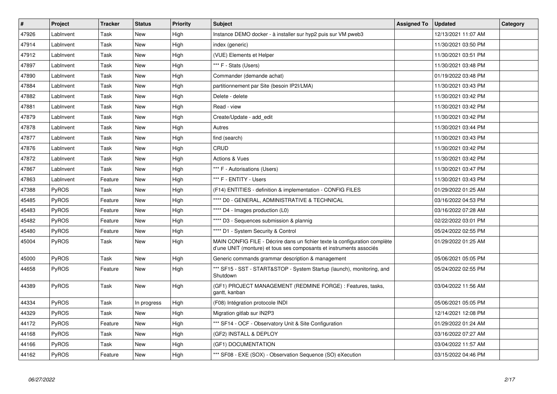| $\vert$ # | Project      | <b>Tracker</b> | <b>Status</b> | Priority | <b>Subject</b>                                                                                                                                    | <b>Assigned To</b> | <b>Updated</b>      | Category |
|-----------|--------------|----------------|---------------|----------|---------------------------------------------------------------------------------------------------------------------------------------------------|--------------------|---------------------|----------|
| 47926     | LabInvent    | Task           | <b>New</b>    | High     | Instance DEMO docker - à installer sur hyp2 puis sur VM pweb3                                                                                     |                    | 12/13/2021 11:07 AM |          |
| 47914     | LabInvent    | Task           | <b>New</b>    | High     | index (generic)                                                                                                                                   |                    | 11/30/2021 03:50 PM |          |
| 47912     | LabInvent    | Task           | New           | High     | (VUE) Elements et Helper                                                                                                                          |                    | 11/30/2021 03:51 PM |          |
| 47897     | LabInvent    | Task           | <b>New</b>    | High     | *** F - Stats (Users)                                                                                                                             |                    | 11/30/2021 03:48 PM |          |
| 47890     | LabInvent    | Task           | <b>New</b>    | High     | Commander (demande achat)                                                                                                                         |                    | 01/19/2022 03:48 PM |          |
| 47884     | LabInvent    | Task           | <b>New</b>    | High     | partitionnement par Site (besoin IP2I/LMA)                                                                                                        |                    | 11/30/2021 03:43 PM |          |
| 47882     | LabInvent    | Task           | <b>New</b>    | High     | Delete - delete                                                                                                                                   |                    | 11/30/2021 03:42 PM |          |
| 47881     | LabInvent    | Task           | <b>New</b>    | High     | Read - view                                                                                                                                       |                    | 11/30/2021 03:42 PM |          |
| 47879     | LabInvent    | Task           | <b>New</b>    | High     | Create/Update - add edit                                                                                                                          |                    | 11/30/2021 03:42 PM |          |
| 47878     | LabInvent    | Task           | <b>New</b>    | High     | Autres                                                                                                                                            |                    | 11/30/2021 03:44 PM |          |
| 47877     | LabInvent    | Task           | New           | High     | find (search)                                                                                                                                     |                    | 11/30/2021 03:43 PM |          |
| 47876     | LabInvent    | Task           | <b>New</b>    | High     | CRUD                                                                                                                                              |                    | 11/30/2021 03:42 PM |          |
| 47872     | LabInvent    | Task           | New           | High     | <b>Actions &amp; Vues</b>                                                                                                                         |                    | 11/30/2021 03:42 PM |          |
| 47867     | LabInvent    | Task           | <b>New</b>    | High     | *** F - Autorisations (Users)                                                                                                                     |                    | 11/30/2021 03:47 PM |          |
| 47863     | LabInvent    | Feature        | New           | High     | *** F - ENTITY - Users                                                                                                                            |                    | 11/30/2021 03:43 PM |          |
| 47388     | <b>PyROS</b> | Task           | <b>New</b>    | High     | (F14) ENTITIES - definition & implementation - CONFIG FILES                                                                                       |                    | 01/29/2022 01:25 AM |          |
| 45485     | PyROS        | Feature        | <b>New</b>    | High     | **** D0 - GENERAL, ADMINISTRATIVE & TECHNICAL                                                                                                     |                    | 03/16/2022 04:53 PM |          |
| 45483     | <b>PyROS</b> | Feature        | New           | High     | **** D4 - Images production (L0)                                                                                                                  |                    | 03/16/2022 07:28 AM |          |
| 45482     | PyROS        | Feature        | <b>New</b>    | High     | **** D3 - Sequences submission & plannig                                                                                                          |                    | 02/22/2022 03:01 PM |          |
| 45480     | PyROS        | Feature        | <b>New</b>    | High     | **** D1 - System Security & Control                                                                                                               |                    | 05/24/2022 02:55 PM |          |
| 45004     | <b>PyROS</b> | Task           | New           | High     | MAIN CONFIG FILE - Décrire dans un fichier texte la configuration complète<br>d'une UNIT (monture) et tous ses composants et instruments associés |                    | 01/29/2022 01:25 AM |          |
| 45000     | <b>PyROS</b> | Task           | <b>New</b>    | High     | Generic commands grammar description & management                                                                                                 |                    | 05/06/2021 05:05 PM |          |
| 44658     | PyROS        | Feature        | New           | High     | *** SF15 - SST - START&STOP - System Startup (launch), monitoring, and<br>Shutdown                                                                |                    | 05/24/2022 02:55 PM |          |
| 44389     | <b>PyROS</b> | Task           | <b>New</b>    | High     | (GF1) PROJECT MANAGEMENT (REDMINE FORGE) : Features, tasks,<br>gantt, kanban                                                                      |                    | 03/04/2022 11:56 AM |          |
| 44334     | <b>PyROS</b> | Task           | In progress   | High     | (F08) Intégration protocole INDI                                                                                                                  |                    | 05/06/2021 05:05 PM |          |
| 44329     | PyROS        | Task           | New           | High     | Migration gitlab sur IN2P3                                                                                                                        |                    | 12/14/2021 12:08 PM |          |
| 44172     | PyROS        | Feature        | New           | High     | *** SF14 - OCF - Observatory Unit & Site Configuration                                                                                            |                    | 01/29/2022 01:24 AM |          |
| 44168     | <b>PyROS</b> | Task           | New           | High     | (GF2) INSTALL & DEPLOY                                                                                                                            |                    | 03/16/2022 07:27 AM |          |
| 44166     | <b>PyROS</b> | Task           | <b>New</b>    | High     | (GF1) DOCUMENTATION                                                                                                                               |                    | 03/04/2022 11:57 AM |          |
| 44162     | <b>PyROS</b> | Feature        | New           | High     | *** SF08 - EXE (SOX) - Observation Sequence (SO) eXecution                                                                                        |                    | 03/15/2022 04:46 PM |          |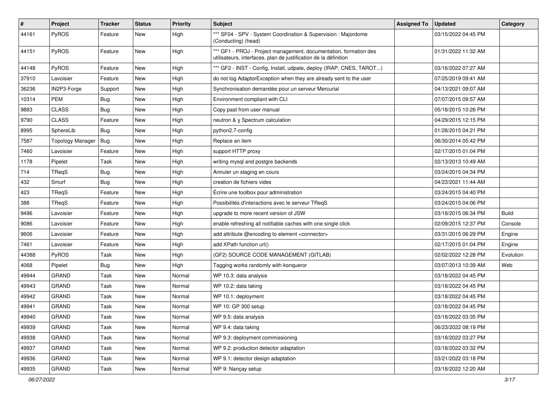| #     | Project                 | Tracker    | <b>Status</b> | <b>Priority</b> | <b>Subject</b>                                                                                                                        | <b>Assigned To</b> | <b>Updated</b>      | Category     |
|-------|-------------------------|------------|---------------|-----------------|---------------------------------------------------------------------------------------------------------------------------------------|--------------------|---------------------|--------------|
| 44161 | PyROS                   | Feature    | New           | High            | *** SF04 - SPV - System Coordination & Supervision : Majordome<br>(Conducting) (head)                                                 |                    | 03/15/2022 04:45 PM |              |
| 44151 | PyROS                   | Feature    | New           | High            | *** GF1 - PROJ - Project management, documentation, formation des<br>utilisateurs, interfaces, plan de justification de la définition |                    | 01/31/2022 11:32 AM |              |
| 44148 | PyROS                   | Feature    | <b>New</b>    | High            | *** GF2 - INST - Config, Install, udpate, deploy (IRAP, CNES, TAROT)                                                                  |                    | 03/16/2022 07:27 AM |              |
| 37910 | Lavoisier               | Feature    | New           | High            | do not log AdaptorException when they are already sent to the user                                                                    |                    | 07/25/2019 09:41 AM |              |
| 36236 | IN2P3-Forge             | Support    | New           | High            | Synchronisation demandée pour un serveur Mercurial                                                                                    |                    | 04/13/2021 09:07 AM |              |
| 10314 | <b>PEM</b>              | Bug        | New           | High            | Environment compliant with CLI                                                                                                        |                    | 07/07/2015 09:57 AM |              |
| 9883  | <b>CLASS</b>            | <b>Bug</b> | New           | High            | Copy past from user manual                                                                                                            |                    | 05/18/2015 10:26 PM |              |
| 9790  | <b>CLASS</b>            | Feature    | <b>New</b>    | High            | neutron & y Spectrum calculation                                                                                                      |                    | 04/29/2015 12:15 PM |              |
| 8995  | SphereLib               | <b>Bug</b> | New           | High            | python2.7-config                                                                                                                      |                    | 01/28/2015 04:21 PM |              |
| 7587  | <b>Topology Manager</b> | Bug        | New           | High            | Replace an item                                                                                                                       |                    | 06/30/2014 05:42 PM |              |
| 7460  | Lavoisier               | Feature    | New           | High            | support HTTP proxy                                                                                                                    |                    | 02/17/2015 01:04 PM |              |
| 1178  | Pipelet                 | Task       | New           | High            | writing mysql and postgre backends                                                                                                    |                    | 02/13/2013 10:49 AM |              |
| 714   | TRegS                   | <b>Bug</b> | New           | High            | Annuler un staging en cours                                                                                                           |                    | 03/24/2015 04:34 PM |              |
| 432   | Smurf                   | Bug        | New           | High            | creation de fichiers vides                                                                                                            |                    | 04/23/2021 11:44 AM |              |
| 423   | TReqS                   | Feature    | New           | High            | Écrire une toolbox pour administration                                                                                                |                    | 03/24/2015 04:40 PM |              |
| 388   | <b>TReqS</b>            | Feature    | New           | High            | Possibilités d'interactions avec le serveur TReqS                                                                                     |                    | 03/24/2015 04:06 PM |              |
| 9496  | Lavoisier               | Feature    | New           | High            | upgrade to more recent version of JSW                                                                                                 |                    | 03/18/2015 06:34 PM | <b>Build</b> |
| 9086  | Lavoisier               | Feature    | <b>New</b>    | High            | enable refreshing all notifiable caches with one single click                                                                         |                    | 02/09/2015 12:37 PM | Console      |
| 9606  | Lavoisier               | Feature    | New           | High            | add attribute @encoding to element <connector></connector>                                                                            |                    | 03/31/2015 06:29 PM | Engine       |
| 7461  | Lavoisier               | Feature    | New           | High            | add XPath function url()                                                                                                              |                    | 02/17/2015 01:04 PM | Engine       |
| 44388 | PyROS                   | Task       | <b>New</b>    | High            | (GF2) SOURCE CODE MANAGEMENT (GITLAB)                                                                                                 |                    | 02/02/2022 12:28 PM | Evolution    |
| 4068  | Pipelet                 | <b>Bug</b> | New           | High            | Tagging works randomly with konqueror                                                                                                 |                    | 03/07/2013 10:39 AM | Web          |
| 49944 | <b>GRAND</b>            | Task       | New           | Normal          | WP 10.3: data analysis                                                                                                                |                    | 03/18/2022 04:45 PM |              |
| 49943 | <b>GRAND</b>            | Task       | New           | Normal          | WP 10.2: data taking                                                                                                                  |                    | 03/18/2022 04:45 PM |              |
| 49942 | <b>GRAND</b>            | Task       | New           | Normal          | WP 10.1: deployment                                                                                                                   |                    | 03/18/2022 04:45 PM |              |
| 49941 | <b>GRAND</b>            | Task       | <b>New</b>    | Normal          | WP 10: GP 300 setup                                                                                                                   |                    | 03/18/2022 04:45 PM |              |
| 49940 | <b>GRAND</b>            | Task       | New           | Normal          | WP 9.5: data analysis                                                                                                                 |                    | 03/18/2022 03:35 PM |              |
| 49939 | GRAND                   | Task       | New           | Normal          | WP 9.4: data taking                                                                                                                   |                    | 06/23/2022 08:19 PM |              |
| 49938 | <b>GRAND</b>            | Task       | New           | Normal          | WP 9.3: deployment commissioning                                                                                                      |                    | 03/18/2022 03:27 PM |              |
| 49937 | GRAND                   | Task       | New           | Normal          | WP 9.2: production detector adaptation                                                                                                |                    | 03/18/2022 03:32 PM |              |
| 49936 | GRAND                   | Task       | New           | Normal          | WP 9.1: detector design adaptation                                                                                                    |                    | 03/21/2022 03:18 PM |              |
| 49935 | GRAND                   | Task       | New           | Normal          | WP 9: Nançay setup                                                                                                                    |                    | 03/18/2022 12:20 AM |              |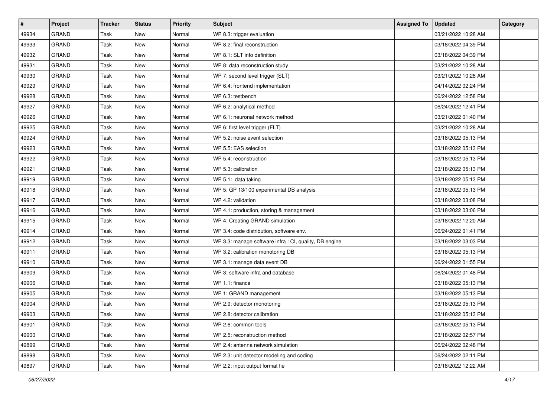| #     | Project      | <b>Tracker</b> | <b>Status</b> | <b>Priority</b> | Subject                                                | <b>Assigned To</b> | <b>Updated</b>      | Category |
|-------|--------------|----------------|---------------|-----------------|--------------------------------------------------------|--------------------|---------------------|----------|
| 49934 | <b>GRAND</b> | Task           | <b>New</b>    | Normal          | WP 8.3: trigger evaluation                             |                    | 03/21/2022 10:28 AM |          |
| 49933 | GRAND        | Task           | New           | Normal          | WP 8.2: final reconstruction                           |                    | 03/18/2022 04:39 PM |          |
| 49932 | <b>GRAND</b> | Task           | New           | Normal          | WP 8.1: SLT info definition                            |                    | 03/18/2022 04:39 PM |          |
| 49931 | <b>GRAND</b> | Task           | New           | Normal          | WP 8: data reconstruction study                        |                    | 03/21/2022 10:28 AM |          |
| 49930 | <b>GRAND</b> | Task           | New           | Normal          | WP 7: second level trigger (SLT)                       |                    | 03/21/2022 10:28 AM |          |
| 49929 | <b>GRAND</b> | Task           | New           | Normal          | WP 6.4: frontend implementation                        |                    | 04/14/2022 02:24 PM |          |
| 49928 | <b>GRAND</b> | Task           | <b>New</b>    | Normal          | WP 6.3: testbench                                      |                    | 06/24/2022 12:58 PM |          |
| 49927 | <b>GRAND</b> | Task           | New           | Normal          | WP 6.2: analytical method                              |                    | 06/24/2022 12:41 PM |          |
| 49926 | <b>GRAND</b> | Task           | New           | Normal          | WP 6.1: neuronal network method                        |                    | 03/21/2022 01:40 PM |          |
| 49925 | <b>GRAND</b> | Task           | <b>New</b>    | Normal          | WP 6: first level trigger (FLT)                        |                    | 03/21/2022 10:28 AM |          |
| 49924 | <b>GRAND</b> | Task           | New           | Normal          | WP 5.2: noise event selection                          |                    | 03/18/2022 05:13 PM |          |
| 49923 | <b>GRAND</b> | Task           | <b>New</b>    | Normal          | WP 5.5: EAS selection                                  |                    | 03/18/2022 05:13 PM |          |
| 49922 | <b>GRAND</b> | Task           | New           | Normal          | WP 5.4: reconstruction                                 |                    | 03/18/2022 05:13 PM |          |
| 49921 | <b>GRAND</b> | Task           | <b>New</b>    | Normal          | WP 5.3: calibration                                    |                    | 03/18/2022 05:13 PM |          |
| 49919 | GRAND        | Task           | <b>New</b>    | Normal          | WP 5.1: data taking                                    |                    | 03/18/2022 05:13 PM |          |
| 49918 | GRAND        | Task           | New           | Normal          | WP 5: GP 13/100 experimental DB analysis               |                    | 03/18/2022 05:13 PM |          |
| 49917 | <b>GRAND</b> | Task           | New           | Normal          | WP 4.2: validation                                     |                    | 03/18/2022 03:08 PM |          |
| 49916 | <b>GRAND</b> | Task           | New           | Normal          | WP 4.1: production, storing & management               |                    | 03/18/2022 03:06 PM |          |
| 49915 | <b>GRAND</b> | Task           | New           | Normal          | WP 4: Creating GRAND simulation                        |                    | 03/18/2022 12:20 AM |          |
| 49914 | GRAND        | Task           | <b>New</b>    | Normal          | WP 3.4: code distribution, software env.               |                    | 06/24/2022 01:41 PM |          |
| 49912 | <b>GRAND</b> | Task           | New           | Normal          | WP 3.3: manage software infra : CI, quality, DB engine |                    | 03/18/2022 03:03 PM |          |
| 49911 | <b>GRAND</b> | Task           | New           | Normal          | WP 3.2: calibration monotoring DB                      |                    | 03/18/2022 05:13 PM |          |
| 49910 | <b>GRAND</b> | Task           | New           | Normal          | WP 3.1: manage data event DB                           |                    | 06/24/2022 01:55 PM |          |
| 49909 | GRAND        | Task           | New           | Normal          | WP 3: software infra and database                      |                    | 06/24/2022 01:48 PM |          |
| 49906 | GRAND        | Task           | New           | Normal          | WP 1.1: finance                                        |                    | 03/18/2022 05:13 PM |          |
| 49905 | <b>GRAND</b> | Task           | New           | Normal          | WP 1: GRAND management                                 |                    | 03/18/2022 05:13 PM |          |
| 49904 | <b>GRAND</b> | Task           | <b>New</b>    | Normal          | WP 2.9: detector monotoring                            |                    | 03/18/2022 05:13 PM |          |
| 49903 | GRAND        | Task           | New           | Normal          | WP 2.8: detector calibration                           |                    | 03/18/2022 05:13 PM |          |
| 49901 | GRAND        | Task           | New           | Normal          | WP 2.6: common tools                                   |                    | 03/18/2022 05:13 PM |          |
| 49900 | <b>GRAND</b> | Task           | New           | Normal          | WP 2.5: reconstruction method                          |                    | 03/18/2022 02:57 PM |          |
| 49899 | GRAND        | Task           | New           | Normal          | WP 2.4: antenna network simulation                     |                    | 06/24/2022 02:48 PM |          |
| 49898 | GRAND        | Task           | New           | Normal          | WP 2.3: unit detector modeling and coding              |                    | 06/24/2022 02:11 PM |          |
| 49897 | GRAND        | Task           | New           | Normal          | WP 2.2: input output format fie                        |                    | 03/18/2022 12:22 AM |          |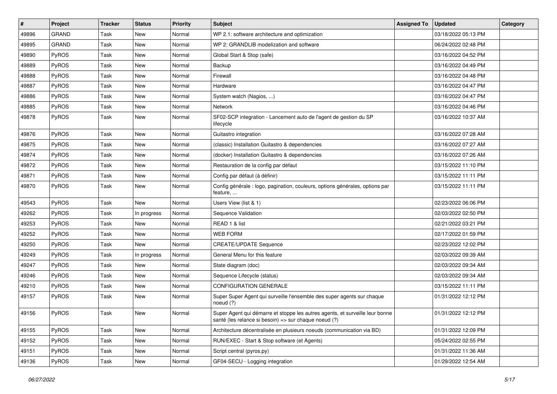| #     | Project      | <b>Tracker</b> | <b>Status</b> | <b>Priority</b> | <b>Subject</b>                                                                                                                        | <b>Assigned To</b> | <b>Updated</b>      | <b>Category</b> |
|-------|--------------|----------------|---------------|-----------------|---------------------------------------------------------------------------------------------------------------------------------------|--------------------|---------------------|-----------------|
| 49896 | <b>GRAND</b> | Task           | <b>New</b>    | Normal          | WP 2.1: software architecture and optimization                                                                                        |                    | 03/18/2022 05:13 PM |                 |
| 49895 | <b>GRAND</b> | Task           | <b>New</b>    | Normal          | WP 2: GRANDLIB modelization and software                                                                                              |                    | 06/24/2022 02:48 PM |                 |
| 49890 | PyROS        | Task           | New           | Normal          | Global Start & Stop (safe)                                                                                                            |                    | 03/16/2022 04:52 PM |                 |
| 49889 | PyROS        | Task           | New           | Normal          | Backup                                                                                                                                |                    | 03/16/2022 04:49 PM |                 |
| 49888 | PyROS        | Task           | <b>New</b>    | Normal          | Firewall                                                                                                                              |                    | 03/16/2022 04:48 PM |                 |
| 49887 | PyROS        | Task           | <b>New</b>    | Normal          | Hardware                                                                                                                              |                    | 03/16/2022 04:47 PM |                 |
| 49886 | PyROS        | Task           | <b>New</b>    | Normal          | System watch (Nagios, )                                                                                                               |                    | 03/16/2022 04:47 PM |                 |
| 49885 | PyROS        | Task           | New           | Normal          | Network                                                                                                                               |                    | 03/16/2022 04:46 PM |                 |
| 49878 | PyROS        | Task           | New           | Normal          | SF02-SCP integration - Lancement auto de l'agent de gestion du SP<br>lifecycle                                                        |                    | 03/16/2022 10:37 AM |                 |
| 49876 | PyROS        | Task           | <b>New</b>    | Normal          | Guitastro integration                                                                                                                 |                    | 03/16/2022 07:28 AM |                 |
| 49875 | PyROS        | Task           | <b>New</b>    | Normal          | (classic) Installation Guitastro & dependencies                                                                                       |                    | 03/16/2022 07:27 AM |                 |
| 49874 | PyROS        | Task           | New           | Normal          | (docker) Installation Guitastro & dependencies                                                                                        |                    | 03/16/2022 07:26 AM |                 |
| 49872 | PyROS        | Task           | New           | Normal          | Restauration de la config par défaut                                                                                                  |                    | 03/15/2022 11:10 PM |                 |
| 49871 | PyROS        | Task           | <b>New</b>    | Normal          | Config par défaut (à définir)                                                                                                         |                    | 03/15/2022 11:11 PM |                 |
| 49870 | PyROS        | Task           | <b>New</b>    | Normal          | Config générale : logo, pagination, couleurs, options générales, options par<br>feature,                                              |                    | 03/15/2022 11:11 PM |                 |
| 49543 | PyROS        | Task           | <b>New</b>    | Normal          | Users View (list & 1)                                                                                                                 |                    | 02/23/2022 06:06 PM |                 |
| 49262 | PyROS        | Task           | In progress   | Normal          | Sequence Validation                                                                                                                   |                    | 02/03/2022 02:50 PM |                 |
| 49253 | PyROS        | Task           | <b>New</b>    | Normal          | READ 1 & list                                                                                                                         |                    | 02/21/2022 03:21 PM |                 |
| 49252 | PyROS        | Task           | New           | Normal          | <b>WEB FORM</b>                                                                                                                       |                    | 02/17/2022 01:59 PM |                 |
| 49250 | PyROS        | Task           | <b>New</b>    | Normal          | <b>CREATE/UPDATE Sequence</b>                                                                                                         |                    | 02/23/2022 12:02 PM |                 |
| 49249 | PyROS        | Task           | In progress   | Normal          | General Menu for this feature                                                                                                         |                    | 02/03/2022 09:39 AM |                 |
| 49247 | PyROS        | Task           | <b>New</b>    | Normal          | State diagram (doc)                                                                                                                   |                    | 02/03/2022 09:34 AM |                 |
| 49246 | PyROS        | Task           | New           | Normal          | Sequence Lifecycle (status)                                                                                                           |                    | 02/03/2022 09:34 AM |                 |
| 49210 | PyROS        | Task           | <b>New</b>    | Normal          | CONFIGURATION GENERALE                                                                                                                |                    | 03/15/2022 11:11 PM |                 |
| 49157 | PyROS        | Task           | New           | Normal          | Super Super Agent qui surveille l'ensemble des super agents sur chaque<br>noeud (?)                                                   |                    | 01/31/2022 12:12 PM |                 |
| 49156 | PyROS        | Task           | New           | Normal          | Super Agent qui démarre et stoppe les autres agents, et surveille leur bonne<br>santé (les relance si besoin) => sur chaque noeud (?) |                    | 01/31/2022 12:12 PM |                 |
| 49155 | PyROS        | Task           | New           | Normal          | Architecture décentralisée en plusieurs noeuds (communication via BD)                                                                 |                    | 01/31/2022 12:09 PM |                 |
| 49152 | PyROS        | Task           | New           | Normal          | RUN/EXEC - Start & Stop software (et Agents)                                                                                          |                    | 05/24/2022 02:55 PM |                 |
| 49151 | PyROS        | Task           | New           | Normal          | Script central (pyros.py)                                                                                                             |                    | 01/31/2022 11:36 AM |                 |
| 49136 | PyROS        | Task           | New           | Normal          | GF04-SECU - Logging integration                                                                                                       |                    | 01/29/2022 12:54 AM |                 |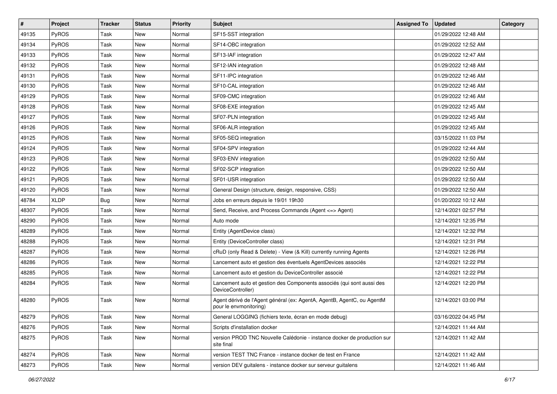| #     | Project     | <b>Tracker</b> | <b>Status</b> | Priority | <b>Subject</b>                                                                                   | <b>Assigned To</b> | <b>Updated</b>      | <b>Category</b> |
|-------|-------------|----------------|---------------|----------|--------------------------------------------------------------------------------------------------|--------------------|---------------------|-----------------|
| 49135 | PyROS       | Task           | New           | Normal   | SF15-SST integration                                                                             |                    | 01/29/2022 12:48 AM |                 |
| 49134 | PyROS       | Task           | <b>New</b>    | Normal   | SF14-OBC integration                                                                             |                    | 01/29/2022 12:52 AM |                 |
| 49133 | PyROS       | Task           | <b>New</b>    | Normal   | SF13-IAF integration                                                                             |                    | 01/29/2022 12:47 AM |                 |
| 49132 | PyROS       | Task           | New           | Normal   | SF12-IAN integration                                                                             |                    | 01/29/2022 12:48 AM |                 |
| 49131 | PyROS       | Task           | <b>New</b>    | Normal   | SF11-IPC integration                                                                             |                    | 01/29/2022 12:46 AM |                 |
| 49130 | PyROS       | Task           | New           | Normal   | SF10-CAL integration                                                                             |                    | 01/29/2022 12:46 AM |                 |
| 49129 | PyROS       | Task           | <b>New</b>    | Normal   | SF09-CMC integration                                                                             |                    | 01/29/2022 12:46 AM |                 |
| 49128 | PyROS       | Task           | New           | Normal   | SF08-EXE integration                                                                             |                    | 01/29/2022 12:45 AM |                 |
| 49127 | PyROS       | Task           | New           | Normal   | SF07-PLN integration                                                                             |                    | 01/29/2022 12:45 AM |                 |
| 49126 | PyROS       | Task           | <b>New</b>    | Normal   | SF06-ALR integration                                                                             |                    | 01/29/2022 12:45 AM |                 |
| 49125 | PyROS       | Task           | New           | Normal   | SF05-SEQ integration                                                                             |                    | 03/15/2022 11:03 PM |                 |
| 49124 | PyROS       | Task           | <b>New</b>    | Normal   | SF04-SPV integration                                                                             |                    | 01/29/2022 12:44 AM |                 |
| 49123 | PyROS       | Task           | New           | Normal   | SF03-ENV integration                                                                             |                    | 01/29/2022 12:50 AM |                 |
| 49122 | PyROS       | Task           | <b>New</b>    | Normal   | SF02-SCP integration                                                                             |                    | 01/29/2022 12:50 AM |                 |
| 49121 | PyROS       | Task           | <b>New</b>    | Normal   | SF01-USR integration                                                                             |                    | 01/29/2022 12:50 AM |                 |
| 49120 | PyROS       | Task           | <b>New</b>    | Normal   | General Design (structure, design, responsive, CSS)                                              |                    | 01/29/2022 12:50 AM |                 |
| 48784 | <b>XLDP</b> | Bug            | <b>New</b>    | Normal   | Jobs en erreurs depuis le 19/01 19h30                                                            |                    | 01/20/2022 10:12 AM |                 |
| 48307 | PyROS       | Task           | <b>New</b>    | Normal   | Send, Receive, and Process Commands (Agent <= > Agent)                                           |                    | 12/14/2021 02:57 PM |                 |
| 48290 | PyROS       | Task           | New           | Normal   | Auto mode                                                                                        |                    | 12/14/2021 12:35 PM |                 |
| 48289 | PyROS       | Task           | <b>New</b>    | Normal   | Entity (AgentDevice class)                                                                       |                    | 12/14/2021 12:32 PM |                 |
| 48288 | PyROS       | Task           | New           | Normal   | Entity (DeviceController class)                                                                  |                    | 12/14/2021 12:31 PM |                 |
| 48287 | PyROS       | Task           | New           | Normal   | cRuD (only Read & Delete) - View (& Kill) currently running Agents                               |                    | 12/14/2021 12:26 PM |                 |
| 48286 | PyROS       | Task           | <b>New</b>    | Normal   | Lancement auto et gestion des éventuels AgentDevices associés                                    |                    | 12/14/2021 12:22 PM |                 |
| 48285 | PyROS       | Task           | New           | Normal   | Lancement auto et gestion du DeviceController associé                                            |                    | 12/14/2021 12:22 PM |                 |
| 48284 | PyROS       | Task           | New           | Normal   | Lancement auto et gestion des Components associés (qui sont aussi des<br>DeviceController)       |                    | 12/14/2021 12:20 PM |                 |
| 48280 | PyROS       | Task           | <b>New</b>    | Normal   | Agent dérivé de l'Agent général (ex: AgentA, AgentB, AgentC, ou AgentM<br>pour le envmonitoring) |                    | 12/14/2021 03:00 PM |                 |
| 48279 | PyROS       | Task           | New           | Normal   | General LOGGING (fichiers texte, écran en mode debug)                                            |                    | 03/16/2022 04:45 PM |                 |
| 48276 | PyROS       | Task           | New           | Normal   | Scripts d'installation docker                                                                    |                    | 12/14/2021 11:44 AM |                 |
| 48275 | PyROS       | Task           | New           | Normal   | version PROD TNC Nouvelle Calédonie - instance docker de production sur<br>site final            |                    | 12/14/2021 11:42 AM |                 |
| 48274 | PyROS       | Task           | New           | Normal   | version TEST TNC France - instance docker de test en France                                      |                    | 12/14/2021 11:42 AM |                 |
| 48273 | PyROS       | Task           | New           | Normal   | version DEV guitalens - instance docker sur serveur guitalens                                    |                    | 12/14/2021 11:46 AM |                 |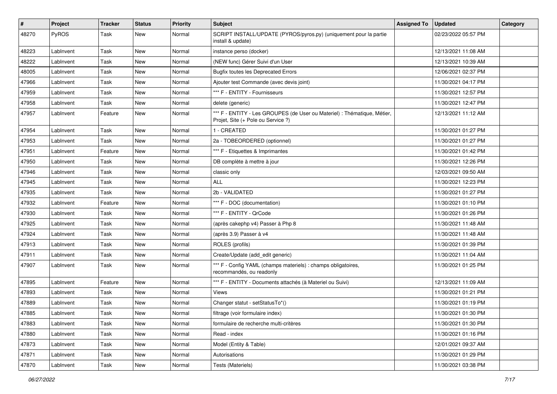| #     | Project   | <b>Tracker</b> | <b>Status</b> | <b>Priority</b> | <b>Subject</b>                                                                                                 | <b>Assigned To</b> | <b>Updated</b>      | Category |
|-------|-----------|----------------|---------------|-----------------|----------------------------------------------------------------------------------------------------------------|--------------------|---------------------|----------|
| 48270 | PyROS     | Task           | New           | Normal          | SCRIPT INSTALL/UPDATE (PYROS/pyros.py) (uniquement pour la partie<br>install & update)                         |                    | 02/23/2022 05:57 PM |          |
| 48223 | LabInvent | Task           | New           | Normal          | instance perso (docker)                                                                                        |                    | 12/13/2021 11:08 AM |          |
| 48222 | LabInvent | Task           | New           | Normal          | (NEW func) Gérer Suivi d'un User                                                                               |                    | 12/13/2021 10:39 AM |          |
| 48005 | LabInvent | Task           | New           | Normal          | <b>Bugfix toutes les Deprecated Errors</b>                                                                     |                    | 12/06/2021 02:37 PM |          |
| 47966 | LabInvent | Task           | <b>New</b>    | Normal          | Ajouter test Commande (avec devis joint)                                                                       |                    | 11/30/2021 04:17 PM |          |
| 47959 | LabInvent | Task           | New           | Normal          | *** F - ENTITY - Fournisseurs                                                                                  |                    | 11/30/2021 12:57 PM |          |
| 47958 | LabInvent | Task           | New           | Normal          | delete (generic)                                                                                               |                    | 11/30/2021 12:47 PM |          |
| 47957 | LabInvent | Feature        | New           | Normal          | *** F - ENTITY - Les GROUPES (de User ou Materiel) : Thématique, Métier,<br>Projet, Site (+ Pole ou Service ?) |                    | 12/13/2021 11:12 AM |          |
| 47954 | LabInvent | Task           | New           | Normal          | 1 - CREATED                                                                                                    |                    | 11/30/2021 01:27 PM |          |
| 47953 | LabInvent | Task           | New           | Normal          | 2a - TOBEORDERED (optionnel)                                                                                   |                    | 11/30/2021 01:27 PM |          |
| 47951 | LabInvent | Feature        | New           | Normal          | *** F - Etiquettes & Imprimantes                                                                               |                    | 11/30/2021 01:42 PM |          |
| 47950 | LabInvent | Task           | New           | Normal          | DB complète à mettre à jour                                                                                    |                    | 11/30/2021 12:26 PM |          |
| 47946 | LabInvent | Task           | New           | Normal          | classic only                                                                                                   |                    | 12/03/2021 09:50 AM |          |
| 47945 | LabInvent | Task           | New           | Normal          | <b>ALL</b>                                                                                                     |                    | 11/30/2021 12:23 PM |          |
| 47935 | LabInvent | Task           | New           | Normal          | 2b - VALIDATED                                                                                                 |                    | 11/30/2021 01:27 PM |          |
| 47932 | LabInvent | Feature        | New           | Normal          | *** F - DOC (documentation)                                                                                    |                    | 11/30/2021 01:10 PM |          |
| 47930 | LabInvent | Task           | New           | Normal          | *** F - ENTITY - QrCode                                                                                        |                    | 11/30/2021 01:26 PM |          |
| 47925 | LabInvent | Task           | <b>New</b>    | Normal          | (après cakephp v4) Passer à Php 8                                                                              |                    | 11/30/2021 11:48 AM |          |
| 47924 | LabInvent | Task           | New           | Normal          | (après 3.9) Passer à v4                                                                                        |                    | 11/30/2021 11:48 AM |          |
| 47913 | LabInvent | Task           | New           | Normal          | ROLES (profils)                                                                                                |                    | 11/30/2021 01:39 PM |          |
| 47911 | LabInvent | Task           | <b>New</b>    | Normal          | Create/Update (add_edit generic)                                                                               |                    | 11/30/2021 11:04 AM |          |
| 47907 | LabInvent | Task           | New           | Normal          | *** F - Config YAML (champs materiels) : champs obligatoires,<br>recommandés, ou readonly                      |                    | 11/30/2021 01:25 PM |          |
| 47895 | LabInvent | Feature        | New           | Normal          | *** F - ENTITY - Documents attachés (à Materiel ou Suivi)                                                      |                    | 12/13/2021 11:09 AM |          |
| 47893 | LabInvent | Task           | New           | Normal          | Views                                                                                                          |                    | 11/30/2021 01:21 PM |          |
| 47889 | LabInvent | Task           | New           | Normal          | Changer statut - setStatusTo*()                                                                                |                    | 11/30/2021 01:19 PM |          |
| 47885 | LabInvent | Task           | New           | Normal          | filtrage (voir formulaire index)                                                                               |                    | 11/30/2021 01:30 PM |          |
| 47883 | LabInvent | Task           | New           | Normal          | formulaire de recherche multi-critères                                                                         |                    | 11/30/2021 01:30 PM |          |
| 47880 | LabInvent | Task           | New           | Normal          | Read - index                                                                                                   |                    | 11/30/2021 01:16 PM |          |
| 47873 | LabInvent | Task           | New           | Normal          | Model (Entity & Table)                                                                                         |                    | 12/01/2021 09:37 AM |          |
| 47871 | LabInvent | Task           | New           | Normal          | Autorisations                                                                                                  |                    | 11/30/2021 01:29 PM |          |
| 47870 | LabInvent | Task           | New           | Normal          | Tests (Materiels)                                                                                              |                    | 11/30/2021 03:38 PM |          |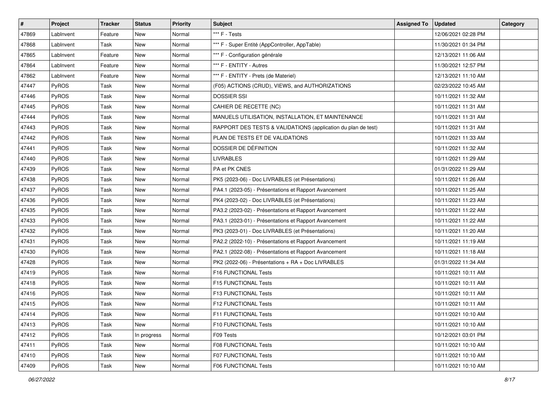| #     | Project      | <b>Tracker</b> | <b>Status</b> | <b>Priority</b> | <b>Subject</b>                                                | <b>Assigned To</b> | <b>Updated</b>      | Category |
|-------|--------------|----------------|---------------|-----------------|---------------------------------------------------------------|--------------------|---------------------|----------|
| 47869 | LabInvent    | Feature        | New           | Normal          | *** F - Tests                                                 |                    | 12/06/2021 02:28 PM |          |
| 47868 | LabInvent    | Task           | New           | Normal          | *** F - Super Entité (AppController, AppTable)                |                    | 11/30/2021 01:34 PM |          |
| 47865 | LabInvent    | Feature        | New           | Normal          | *** F - Configuration générale                                |                    | 12/13/2021 11:06 AM |          |
| 47864 | LabInvent    | Feature        | New           | Normal          | *** F - ENTITY - Autres                                       |                    | 11/30/2021 12:57 PM |          |
| 47862 | LabInvent    | Feature        | New           | Normal          | *** F - ENTITY - Prets (de Materiel)                          |                    | 12/13/2021 11:10 AM |          |
| 47447 | PyROS        | Task           | New           | Normal          | (F05) ACTIONS (CRUD), VIEWS, and AUTHORIZATIONS               |                    | 02/23/2022 10:45 AM |          |
| 47446 | PyROS        | Task           | New           | Normal          | <b>DOSSIER SSI</b>                                            |                    | 10/11/2021 11:32 AM |          |
| 47445 | <b>PyROS</b> | Task           | New           | Normal          | CAHIER DE RECETTE (NC)                                        |                    | 10/11/2021 11:31 AM |          |
| 47444 | PyROS        | Task           | New           | Normal          | MANUELS UTILISATION, INSTALLATION, ET MAINTENANCE             |                    | 10/11/2021 11:31 AM |          |
| 47443 | PyROS        | Task           | New           | Normal          | RAPPORT DES TESTS & VALIDATIONS (application du plan de test) |                    | 10/11/2021 11:31 AM |          |
| 47442 | PyROS        | Task           | New           | Normal          | PLAN DE TESTS ET DE VALIDATIONS                               |                    | 10/11/2021 11:33 AM |          |
| 47441 | PyROS        | Task           | New           | Normal          | DOSSIER DE DÉFINITION                                         |                    | 10/11/2021 11:32 AM |          |
| 47440 | PyROS        | Task           | New           | Normal          | <b>LIVRABLES</b>                                              |                    | 10/11/2021 11:29 AM |          |
| 47439 | PyROS        | Task           | New           | Normal          | PA et PK CNES                                                 |                    | 01/31/2022 11:29 AM |          |
| 47438 | PyROS        | Task           | New           | Normal          | PK5 (2023-06) - Doc LIVRABLES (et Présentations)              |                    | 10/11/2021 11:26 AM |          |
| 47437 | <b>PyROS</b> | Task           | New           | Normal          | PA4.1 (2023-05) - Présentations et Rapport Avancement         |                    | 10/11/2021 11:25 AM |          |
| 47436 | PyROS        | Task           | New           | Normal          | PK4 (2023-02) - Doc LIVRABLES (et Présentations)              |                    | 10/11/2021 11:23 AM |          |
| 47435 | PyROS        | Task           | New           | Normal          | PA3.2 (2023-02) - Présentations et Rapport Avancement         |                    | 10/11/2021 11:22 AM |          |
| 47433 | PyROS        | Task           | New           | Normal          | PA3.1 (2023-01) - Présentations et Rapport Avancement         |                    | 10/11/2021 11:22 AM |          |
| 47432 | PyROS        | Task           | New           | Normal          | PK3 (2023-01) - Doc LIVRABLES (et Présentations)              |                    | 10/11/2021 11:20 AM |          |
| 47431 | <b>PyROS</b> | Task           | New           | Normal          | PA2.2 (2022-10) - Présentations et Rapport Avancement         |                    | 10/11/2021 11:19 AM |          |
| 47430 | PyROS        | Task           | New           | Normal          | PA2.1 (2022-08) - Présentations et Rapport Avancement         |                    | 10/11/2021 11:18 AM |          |
| 47428 | PyROS        | Task           | New           | Normal          | PK2 (2022-06) - Présentations + RA + Doc LIVRABLES            |                    | 01/31/2022 11:34 AM |          |
| 47419 | PyROS        | Task           | New           | Normal          | F16 FUNCTIONAL Tests                                          |                    | 10/11/2021 10:11 AM |          |
| 47418 | PyROS        | Task           | New           | Normal          | F15 FUNCTIONAL Tests                                          |                    | 10/11/2021 10:11 AM |          |
| 47416 | <b>PyROS</b> | Task           | New           | Normal          | F13 FUNCTIONAL Tests                                          |                    | 10/11/2021 10:11 AM |          |
| 47415 | PyROS        | Task           | New           | Normal          | <b>F12 FUNCTIONAL Tests</b>                                   |                    | 10/11/2021 10:11 AM |          |
| 47414 | PyROS        | Task           | New           | Normal          | F11 FUNCTIONAL Tests                                          |                    | 10/11/2021 10:10 AM |          |
| 47413 | <b>PyROS</b> | Task           | New           | Normal          | <b>F10 FUNCTIONAL Tests</b>                                   |                    | 10/11/2021 10:10 AM |          |
| 47412 | PyROS        | Task           | In progress   | Normal          | F09 Tests                                                     |                    | 10/12/2021 03:01 PM |          |
| 47411 | PyROS        | Task           | New           | Normal          | <b>F08 FUNCTIONAL Tests</b>                                   |                    | 10/11/2021 10:10 AM |          |
| 47410 | PyROS        | Task           | New           | Normal          | <b>F07 FUNCTIONAL Tests</b>                                   |                    | 10/11/2021 10:10 AM |          |
| 47409 | PyROS        | Task           | New           | Normal          | F06 FUNCTIONAL Tests                                          |                    | 10/11/2021 10:10 AM |          |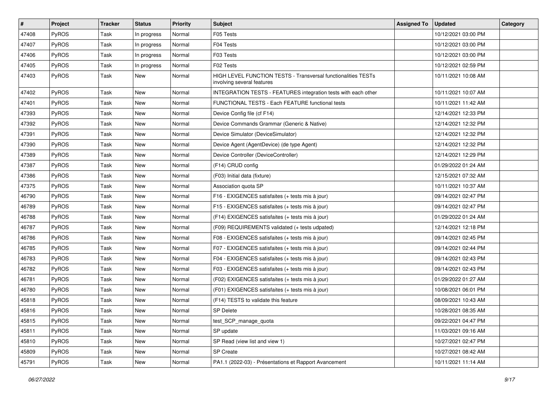| #     | Project | <b>Tracker</b> | <b>Status</b> | <b>Priority</b> | Subject                                                                                            | <b>Assigned To</b> | <b>Updated</b>      | <b>Category</b> |
|-------|---------|----------------|---------------|-----------------|----------------------------------------------------------------------------------------------------|--------------------|---------------------|-----------------|
| 47408 | PyROS   | Task           | In progress   | Normal          | F05 Tests                                                                                          |                    | 10/12/2021 03:00 PM |                 |
| 47407 | PyROS   | Task           | In progress   | Normal          | F04 Tests                                                                                          |                    | 10/12/2021 03:00 PM |                 |
| 47406 | PyROS   | Task           | In progress   | Normal          | F03 Tests                                                                                          |                    | 10/12/2021 03:00 PM |                 |
| 47405 | PyROS   | Task           | In progress   | Normal          | F02 Tests                                                                                          |                    | 10/12/2021 02:59 PM |                 |
| 47403 | PyROS   | Task           | New           | Normal          | <b>HIGH LEVEL FUNCTION TESTS - Transversal functionalities TESTs</b><br>involving several features |                    | 10/11/2021 10:08 AM |                 |
| 47402 | PyROS   | Task           | New           | Normal          | INTEGRATION TESTS - FEATURES integration tests with each other                                     |                    | 10/11/2021 10:07 AM |                 |
| 47401 | PyROS   | Task           | New           | Normal          | FUNCTIONAL TESTS - Each FEATURE functional tests                                                   |                    | 10/11/2021 11:42 AM |                 |
| 47393 | PyROS   | Task           | New           | Normal          | Device Config file (cf F14)                                                                        |                    | 12/14/2021 12:33 PM |                 |
| 47392 | PyROS   | Task           | New           | Normal          | Device Commands Grammar (Generic & Native)                                                         |                    | 12/14/2021 12:32 PM |                 |
| 47391 | PyROS   | Task           | New           | Normal          | Device Simulator (DeviceSimulator)                                                                 |                    | 12/14/2021 12:32 PM |                 |
| 47390 | PyROS   | Task           | <b>New</b>    | Normal          | Device Agent (AgentDevice) (de type Agent)                                                         |                    | 12/14/2021 12:32 PM |                 |
| 47389 | PyROS   | Task           | New           | Normal          | Device Controller (DeviceController)                                                               |                    | 12/14/2021 12:29 PM |                 |
| 47387 | PyROS   | Task           | New           | Normal          | (F14) CRUD config                                                                                  |                    | 01/29/2022 01:24 AM |                 |
| 47386 | PyROS   | Task           | <b>New</b>    | Normal          | (F03) Initial data (fixture)                                                                       |                    | 12/15/2021 07:32 AM |                 |
| 47375 | PyROS   | Task           | New           | Normal          | Association quota SP                                                                               |                    | 10/11/2021 10:37 AM |                 |
| 46790 | PyROS   | Task           | New           | Normal          | F16 - EXIGENCES satisfaites (+ tests mis à jour)                                                   |                    | 09/14/2021 02:47 PM |                 |
| 46789 | PyROS   | Task           | New           | Normal          | F15 - EXIGENCES satisfaites (+ tests mis à jour)                                                   |                    | 09/14/2021 02:47 PM |                 |
| 46788 | PyROS   | Task           | <b>New</b>    | Normal          | (F14) EXIGENCES satisfaites (+ tests mis à jour)                                                   |                    | 01/29/2022 01:24 AM |                 |
| 46787 | PyROS   | Task           | New           | Normal          | (F09) REQUIREMENTS validated (+ tests udpated)                                                     |                    | 12/14/2021 12:18 PM |                 |
| 46786 | PyROS   | Task           | New           | Normal          | F08 - EXIGENCES satisfaites (+ tests mis à jour)                                                   |                    | 09/14/2021 02:45 PM |                 |
| 46785 | PyROS   | Task           | New           | Normal          | F07 - EXIGENCES satisfaites (+ tests mis à jour)                                                   |                    | 09/14/2021 02:44 PM |                 |
| 46783 | PyROS   | Task           | New           | Normal          | F04 - EXIGENCES satisfaites (+ tests mis à jour)                                                   |                    | 09/14/2021 02:43 PM |                 |
| 46782 | PyROS   | Task           | New           | Normal          | F03 - EXIGENCES satisfaites (+ tests mis à jour)                                                   |                    | 09/14/2021 02:43 PM |                 |
| 46781 | PyROS   | Task           | <b>New</b>    | Normal          | (F02) EXIGENCES satisfaites (+ tests mis à jour)                                                   |                    | 01/29/2022 01:27 AM |                 |
| 46780 | PyROS   | Task           | New           | Normal          | (F01) EXIGENCES satisfaites (+ tests mis à jour)                                                   |                    | 10/08/2021 06:01 PM |                 |
| 45818 | PyROS   | Task           | New           | Normal          | (F14) TESTS to validate this feature                                                               |                    | 08/09/2021 10:43 AM |                 |
| 45816 | PyROS   | Task           | <b>New</b>    | Normal          | <b>SP Delete</b>                                                                                   |                    | 10/28/2021 08:35 AM |                 |
| 45815 | PyROS   | Task           | New           | Normal          | test_SCP_manage_quota                                                                              |                    | 09/22/2021 04:47 PM |                 |
| 45811 | PyROS   | Task           | New           | Normal          | SP update                                                                                          |                    | 11/03/2021 09:16 AM |                 |
| 45810 | PyROS   | Task           | New           | Normal          | SP Read (view list and view 1)                                                                     |                    | 10/27/2021 02:47 PM |                 |
| 45809 | PyROS   | Task           | New           | Normal          | SP Create                                                                                          |                    | 10/27/2021 08:42 AM |                 |
| 45791 | PyROS   | Task           | New           | Normal          | PA1.1 (2022-03) - Présentations et Rapport Avancement                                              |                    | 10/11/2021 11:14 AM |                 |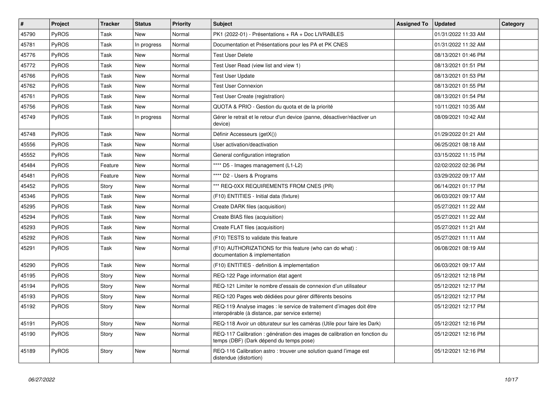| #     | Project      | <b>Tracker</b> | <b>Status</b> | Priority | <b>Subject</b>                                                                                                          | <b>Assigned To</b> | <b>Updated</b>      | Category |
|-------|--------------|----------------|---------------|----------|-------------------------------------------------------------------------------------------------------------------------|--------------------|---------------------|----------|
| 45790 | <b>PyROS</b> | Task           | <b>New</b>    | Normal   | PK1 (2022-01) - Présentations + RA + Doc LIVRABLES                                                                      |                    | 01/31/2022 11:33 AM |          |
| 45781 | PyROS        | Task           | In progress   | Normal   | Documentation et Présentations pour les PA et PK CNES                                                                   |                    | 01/31/2022 11:32 AM |          |
| 45776 | <b>PyROS</b> | Task           | <b>New</b>    | Normal   | <b>Test User Delete</b>                                                                                                 |                    | 08/13/2021 01:46 PM |          |
| 45772 | <b>PyROS</b> | Task           | New           | Normal   | Test User Read (view list and view 1)                                                                                   |                    | 08/13/2021 01:51 PM |          |
| 45766 | PyROS        | Task           | <b>New</b>    | Normal   | <b>Test User Update</b>                                                                                                 |                    | 08/13/2021 01:53 PM |          |
| 45762 | PyROS        | Task           | New           | Normal   | <b>Test User Connexion</b>                                                                                              |                    | 08/13/2021 01:55 PM |          |
| 45761 | PyROS        | Task           | <b>New</b>    | Normal   | Test User Create (registration)                                                                                         |                    | 08/13/2021 01:54 PM |          |
| 45756 | <b>PyROS</b> | Task           | New           | Normal   | QUOTA & PRIO - Gestion du quota et de la priorité                                                                       |                    | 10/11/2021 10:35 AM |          |
| 45749 | <b>PyROS</b> | Task           | In progress   | Normal   | Gérer le retrait et le retour d'un device (panne, désactiver/réactiver un<br>device)                                    |                    | 08/09/2021 10:42 AM |          |
| 45748 | <b>PyROS</b> | Task           | <b>New</b>    | Normal   | Définir Accesseurs (getX())                                                                                             |                    | 01/29/2022 01:21 AM |          |
| 45556 | <b>PyROS</b> | Task           | New           | Normal   | User activation/deactivation                                                                                            |                    | 06/25/2021 08:18 AM |          |
| 45552 | PyROS        | Task           | New           | Normal   | General configuration integration                                                                                       |                    | 03/15/2022 11:15 PM |          |
| 45484 | <b>PyROS</b> | Feature        | <b>New</b>    | Normal   | **** D5 - Images management (L1-L2)                                                                                     |                    | 02/02/2022 02:36 PM |          |
| 45481 | <b>PyROS</b> | Feature        | New           | Normal   | **** D2 - Users & Programs                                                                                              |                    | 03/29/2022 09:17 AM |          |
| 45452 | <b>PyROS</b> | Story          | <b>New</b>    | Normal   | *** REQ-0XX REQUIREMENTS FROM CNES (PR)                                                                                 |                    | 06/14/2021 01:17 PM |          |
| 45346 | PyROS        | Task           | New           | Normal   | (F10) ENTITIES - Initial data (fixture)                                                                                 |                    | 06/03/2021 09:17 AM |          |
| 45295 | <b>PyROS</b> | Task           | New           | Normal   | Create DARK files (acquisition)                                                                                         |                    | 05/27/2021 11:22 AM |          |
| 45294 | <b>PyROS</b> | Task           | New           | Normal   | Create BIAS files (acquisition)                                                                                         |                    | 05/27/2021 11:22 AM |          |
| 45293 | <b>PyROS</b> | Task           | <b>New</b>    | Normal   | Create FLAT files (acquisition)                                                                                         |                    | 05/27/2021 11:21 AM |          |
| 45292 | PyROS        | Task           | New           | Normal   | (F10) TESTS to validate this feature                                                                                    |                    | 05/27/2021 11:11 AM |          |
| 45291 | <b>PyROS</b> | Task           | <b>New</b>    | Normal   | (F10) AUTHORIZATIONS for this feature (who can do what):<br>documentation & implementation                              |                    | 06/08/2021 08:19 AM |          |
| 45290 | PyROS        | Task           | New           | Normal   | (F10) ENTITIES - definition & implementation                                                                            |                    | 06/03/2021 09:17 AM |          |
| 45195 | <b>PyROS</b> | Story          | New           | Normal   | REQ-122 Page information état agent                                                                                     |                    | 05/12/2021 12:18 PM |          |
| 45194 | <b>PyROS</b> | Story          | New           | Normal   | REQ-121 Limiter le nombre d'essais de connexion d'un utilisateur                                                        |                    | 05/12/2021 12:17 PM |          |
| 45193 | PyROS        | Story          | <b>New</b>    | Normal   | REQ-120 Pages web dédiées pour gérer différents besoins                                                                 |                    | 05/12/2021 12:17 PM |          |
| 45192 | <b>PyROS</b> | Story          | <b>New</b>    | Normal   | REQ-119 Analyse images : le service de traitement d'images doit être<br>interopérable (à distance, par service externe) |                    | 05/12/2021 12:17 PM |          |
| 45191 | <b>PyROS</b> | Story          | <b>New</b>    | Normal   | REQ-118 Avoir un obturateur sur les caméras (Utile pour faire les Dark)                                                 |                    | 05/12/2021 12:16 PM |          |
| 45190 | PyROS        | Story          | <b>New</b>    | Normal   | REQ-117 Calibration : génération des images de calibration en fonction du<br>temps (DBF) (Dark dépend du temps pose)    |                    | 05/12/2021 12:16 PM |          |
| 45189 | <b>PyROS</b> | Story          | <b>New</b>    | Normal   | REQ-116 Calibration astro: trouver une solution quand l'image est<br>distendue (distortion)                             |                    | 05/12/2021 12:16 PM |          |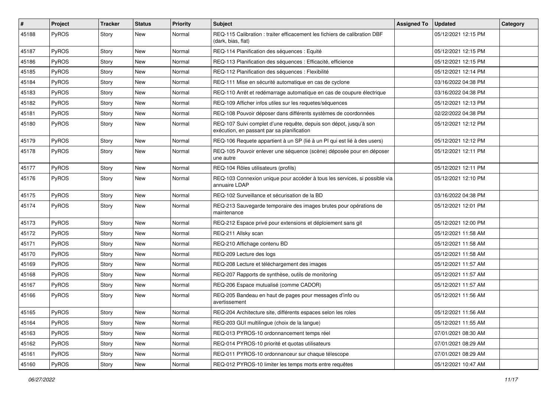| $\sharp$ | Project      | <b>Tracker</b> | <b>Status</b> | <b>Priority</b> | <b>Subject</b>                                                                                                   | <b>Assigned To</b> | <b>Updated</b>      | <b>Category</b> |
|----------|--------------|----------------|---------------|-----------------|------------------------------------------------------------------------------------------------------------------|--------------------|---------------------|-----------------|
| 45188    | PyROS        | Story          | <b>New</b>    | Normal          | REQ-115 Calibration : traiter efficacement les fichiers de calibration DBF<br>(dark, bias, flat)                 |                    | 05/12/2021 12:15 PM |                 |
| 45187    | PyROS        | Story          | New           | Normal          | REQ-114 Planification des séquences : Equité                                                                     |                    | 05/12/2021 12:15 PM |                 |
| 45186    | PyROS        | Story          | <b>New</b>    | Normal          | REQ-113 Planification des séquences : Efficacité, efficience                                                     |                    | 05/12/2021 12:15 PM |                 |
| 45185    | PyROS        | Story          | <b>New</b>    | Normal          | REQ-112 Planification des séquences : Flexibilité                                                                |                    | 05/12/2021 12:14 PM |                 |
| 45184    | PyROS        | Story          | New           | Normal          | REQ-111 Mise en sécurité automatique en cas de cyclone                                                           |                    | 03/16/2022 04:38 PM |                 |
| 45183    | PyROS        | Story          | <b>New</b>    | Normal          | REQ-110 Arrêt et redémarrage automatique en cas de coupure électrique                                            |                    | 03/16/2022 04:38 PM |                 |
| 45182    | PyROS        | Story          | New           | Normal          | REQ-109 Afficher infos utiles sur les requetes/séquences                                                         |                    | 05/12/2021 12:13 PM |                 |
| 45181    | PyROS        | Story          | New           | Normal          | REQ-108 Pouvoir déposer dans différents systèmes de coordonnées                                                  |                    | 02/22/2022 04:38 PM |                 |
| 45180    | PyROS        | Story          | <b>New</b>    | Normal          | REQ-107 Suivi complet d'une requête, depuis son dépot, jusqu'à son<br>exécution, en passant par sa planification |                    | 05/12/2021 12:12 PM |                 |
| 45179    | PyROS        | Story          | <b>New</b>    | Normal          | REQ-106 Requete appartient à un SP (lié à un PI qui est lié à des users)                                         |                    | 05/12/2021 12:12 PM |                 |
| 45178    | PyROS        | Story          | <b>New</b>    | Normal          | REQ-105 Pouvoir enlever une séquence (scène) déposée pour en déposer<br>une autre                                |                    | 05/12/2021 12:11 PM |                 |
| 45177    | PyROS        | Story          | <b>New</b>    | Normal          | REQ-104 Rôles utilisateurs (profils)                                                                             |                    | 05/12/2021 12:11 PM |                 |
| 45176    | PyROS        | Story          | New           | Normal          | REQ-103 Connexion unique pour accéder à tous les services, si possible via<br>annuaire LDAP                      |                    | 05/12/2021 12:10 PM |                 |
| 45175    | PyROS        | Story          | <b>New</b>    | Normal          | REQ-102 Surveillance et sécurisation de la BD                                                                    |                    | 03/16/2022 04:38 PM |                 |
| 45174    | <b>PyROS</b> | Story          | New           | Normal          | REQ-213 Sauvegarde temporaire des images brutes pour opérations de<br>maintenance                                |                    | 05/12/2021 12:01 PM |                 |
| 45173    | PyROS        | Story          | <b>New</b>    | Normal          | REQ-212 Espace privé pour extensions et déploiement sans git                                                     |                    | 05/12/2021 12:00 PM |                 |
| 45172    | PyROS        | Story          | New           | Normal          | REQ-211 Allsky scan                                                                                              |                    | 05/12/2021 11:58 AM |                 |
| 45171    | PyROS        | Story          | <b>New</b>    | Normal          | REQ-210 Affichage contenu BD                                                                                     |                    | 05/12/2021 11:58 AM |                 |
| 45170    | PyROS        | Story          | New           | Normal          | REQ-209 Lecture des logs                                                                                         |                    | 05/12/2021 11:58 AM |                 |
| 45169    | PyROS        | Story          | <b>New</b>    | Normal          | REQ-208 Lecture et téléchargement des images                                                                     |                    | 05/12/2021 11:57 AM |                 |
| 45168    | PyROS        | Story          | <b>New</b>    | Normal          | REQ-207 Rapports de synthèse, outils de monitoring                                                               |                    | 05/12/2021 11:57 AM |                 |
| 45167    | <b>PyROS</b> | Story          | New           | Normal          | REQ-206 Espace mutualisé (comme CADOR)                                                                           |                    | 05/12/2021 11:57 AM |                 |
| 45166    | <b>PyROS</b> | Story          | New           | Normal          | REQ-205 Bandeau en haut de pages pour messages d'info ou<br>avertissement                                        |                    | 05/12/2021 11:56 AM |                 |
| 45165    | PyROS        | Story          | New           | Normal          | REQ-204 Architecture site, différents espaces selon les roles                                                    |                    | 05/12/2021 11:56 AM |                 |
| 45164    | PyROS        | Story          | New           | Normal          | REQ-203 GUI multilingue (choix de la langue)                                                                     |                    | 05/12/2021 11:55 AM |                 |
| 45163    | PyROS        | Story          | New           | Normal          | REQ-013 PYROS-10 ordonnancement temps réel                                                                       |                    | 07/01/2021 08:30 AM |                 |
| 45162    | PyROS        | Story          | New           | Normal          | REQ-014 PYROS-10 priorité et quotas utilisateurs                                                                 |                    | 07/01/2021 08:29 AM |                 |
| 45161    | PyROS        | Story          | New           | Normal          | REQ-011 PYROS-10 ordonnanceur sur chaque télescope                                                               |                    | 07/01/2021 08:29 AM |                 |
| 45160    | PyROS        | Story          | New           | Normal          | REQ-012 PYROS-10 limiter les temps morts entre requêtes                                                          |                    | 05/12/2021 10:47 AM |                 |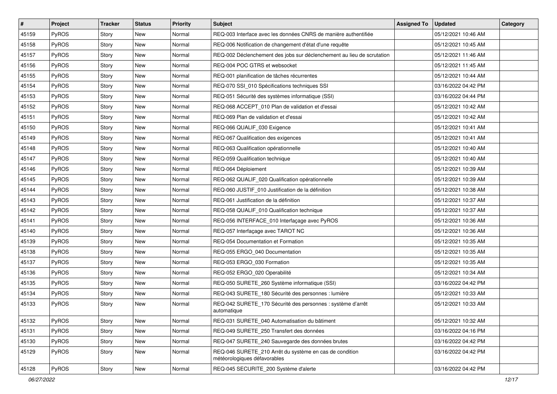| #     | Project | <b>Tracker</b> | <b>Status</b> | <b>Priority</b> | Subject                                                                                 | <b>Assigned To</b> | <b>Updated</b>      | Category |
|-------|---------|----------------|---------------|-----------------|-----------------------------------------------------------------------------------------|--------------------|---------------------|----------|
| 45159 | PyROS   | Story          | New           | Normal          | REQ-003 Interface avec les données CNRS de manière authentifiée                         |                    | 05/12/2021 10:46 AM |          |
| 45158 | PyROS   | Story          | New           | Normal          | REQ-006 Notification de changement d'état d'une requête                                 |                    | 05/12/2021 10:45 AM |          |
| 45157 | PyROS   | Story          | New           | Normal          | REQ-002 Déclenchement des jobs sur déclenchement au lieu de scrutation                  |                    | 05/12/2021 11:46 AM |          |
| 45156 | PyROS   | Story          | New           | Normal          | REQ-004 POC GTRS et websocket                                                           |                    | 05/12/2021 11:45 AM |          |
| 45155 | PyROS   | Story          | New           | Normal          | REQ-001 planification de tâches récurrentes                                             |                    | 05/12/2021 10:44 AM |          |
| 45154 | PyROS   | Story          | New           | Normal          | REQ-070 SSI_010 Spécifications techniques SSI                                           |                    | 03/16/2022 04:42 PM |          |
| 45153 | PyROS   | Story          | New           | Normal          | REQ-051 Sécurité des systèmes informatique (SSI)                                        |                    | 03/16/2022 04:44 PM |          |
| 45152 | PyROS   | Story          | New           | Normal          | REQ-068 ACCEPT_010 Plan de validation et d'essai                                        |                    | 05/12/2021 10:42 AM |          |
| 45151 | PyROS   | Story          | New           | Normal          | REQ-069 Plan de validation et d'essai                                                   |                    | 05/12/2021 10:42 AM |          |
| 45150 | PyROS   | Story          | <b>New</b>    | Normal          | REQ-066 QUALIF_030 Exigence                                                             |                    | 05/12/2021 10:41 AM |          |
| 45149 | PyROS   | Story          | New           | Normal          | REQ-067 Qualification des exigences                                                     |                    | 05/12/2021 10:41 AM |          |
| 45148 | PyROS   | Story          | New           | Normal          | REQ-063 Qualification opérationnelle                                                    |                    | 05/12/2021 10:40 AM |          |
| 45147 | PyROS   | Story          | New           | Normal          | REQ-059 Qualification technique                                                         |                    | 05/12/2021 10:40 AM |          |
| 45146 | PyROS   | Story          | <b>New</b>    | Normal          | REQ-064 Déploiement                                                                     |                    | 05/12/2021 10:39 AM |          |
| 45145 | PyROS   | Story          | New           | Normal          | REQ-062 QUALIF_020 Qualification opérationnelle                                         |                    | 05/12/2021 10:39 AM |          |
| 45144 | PyROS   | Story          | New           | Normal          | REQ-060 JUSTIF_010 Justification de la définition                                       |                    | 05/12/2021 10:38 AM |          |
| 45143 | PyROS   | Story          | New           | Normal          | REQ-061 Justification de la définition                                                  |                    | 05/12/2021 10:37 AM |          |
| 45142 | PyROS   | Story          | <b>New</b>    | Normal          | REQ-058 QUALIF_010 Qualification technique                                              |                    | 05/12/2021 10:37 AM |          |
| 45141 | PyROS   | Story          | New           | Normal          | REQ-056 INTERFACE_010 Interfaçage avec PyROS                                            |                    | 05/12/2021 10:36 AM |          |
| 45140 | PyROS   | Story          | New           | Normal          | REQ-057 Interfaçage avec TAROT NC                                                       |                    | 05/12/2021 10:36 AM |          |
| 45139 | PyROS   | Story          | New           | Normal          | REQ-054 Documentation et Formation                                                      |                    | 05/12/2021 10:35 AM |          |
| 45138 | PyROS   | Story          | New           | Normal          | REQ-055 ERGO 040 Documentation                                                          |                    | 05/12/2021 10:35 AM |          |
| 45137 | PyROS   | Story          | <b>New</b>    | Normal          | REQ-053 ERGO_030 Formation                                                              |                    | 05/12/2021 10:35 AM |          |
| 45136 | PyROS   | Story          | New           | Normal          | REQ-052 ERGO 020 Operabilité                                                            |                    | 05/12/2021 10:34 AM |          |
| 45135 | PyROS   | Story          | New           | Normal          | REQ-050 SURETE_260 Système informatique (SSI)                                           |                    | 03/16/2022 04:42 PM |          |
| 45134 | PyROS   | Story          | New           | Normal          | REQ-043 SURETE 180 Sécurité des personnes : lumière                                     |                    | 05/12/2021 10:33 AM |          |
| 45133 | PyROS   | Story          | New           | Normal          | REQ-042 SURETE_170 Sécurité des personnes : système d'arrêt<br>automatique              |                    | 05/12/2021 10:33 AM |          |
| 45132 | PyROS   | Story          | New           | Normal          | REQ-031 SURETE 040 Automatisation du bâtiment                                           |                    | 05/12/2021 10:32 AM |          |
| 45131 | PyROS   | Story          | New           | Normal          | REQ-049 SURETE 250 Transfert des données                                                |                    | 03/16/2022 04:16 PM |          |
| 45130 | PyROS   | Story          | New           | Normal          | REQ-047 SURETE_240 Sauvegarde des données brutes                                        |                    | 03/16/2022 04:42 PM |          |
| 45129 | PyROS   | Story          | New           | Normal          | REQ-046 SURETE_210 Arrêt du système en cas de condition<br>météorologiques défavorables |                    | 03/16/2022 04:42 PM |          |
| 45128 | PyROS   | Story          | New           | Normal          | REQ-045 SECURITE_200 Système d'alerte                                                   |                    | 03/16/2022 04:42 PM |          |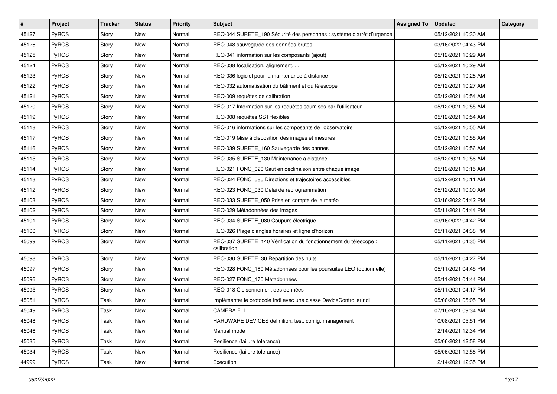| #     | Project | <b>Tracker</b> | <b>Status</b> | <b>Priority</b> | Subject                                                                         | <b>Assigned To</b> | <b>Updated</b>      | Category |
|-------|---------|----------------|---------------|-----------------|---------------------------------------------------------------------------------|--------------------|---------------------|----------|
| 45127 | PyROS   | Story          | New           | Normal          | REQ-044 SURETE_190 Sécurité des personnes : système d'arrêt d'urgence           |                    | 05/12/2021 10:30 AM |          |
| 45126 | PyROS   | Story          | <b>New</b>    | Normal          | REQ-048 sauvegarde des données brutes                                           |                    | 03/16/2022 04:43 PM |          |
| 45125 | PyROS   | Story          | New           | Normal          | REQ-041 information sur les composants (ajout)                                  |                    | 05/12/2021 10:29 AM |          |
| 45124 | PyROS   | Story          | New           | Normal          | REQ-038 focalisation, alignement,                                               |                    | 05/12/2021 10:29 AM |          |
| 45123 | PyROS   | Story          | <b>New</b>    | Normal          | REQ-036 logiciel pour la maintenance à distance                                 |                    | 05/12/2021 10:28 AM |          |
| 45122 | PyROS   | Story          | New           | Normal          | REQ-032 automatisation du bâtiment et du télescope                              |                    | 05/12/2021 10:27 AM |          |
| 45121 | PyROS   | Story          | New           | Normal          | REQ-009 requêtes de calibration                                                 |                    | 05/12/2021 10:54 AM |          |
| 45120 | PyROS   | Story          | New           | Normal          | REQ-017 Information sur les requêtes soumises par l'utilisateur                 |                    | 05/12/2021 10:55 AM |          |
| 45119 | PyROS   | Story          | New           | Normal          | REQ-008 requêtes SST flexibles                                                  |                    | 05/12/2021 10:54 AM |          |
| 45118 | PyROS   | Story          | <b>New</b>    | Normal          | REQ-016 informations sur les composants de l'observatoire                       |                    | 05/12/2021 10:55 AM |          |
| 45117 | PyROS   | Story          | New           | Normal          | REQ-019 Mise à disposition des images et mesures                                |                    | 05/12/2021 10:55 AM |          |
| 45116 | PyROS   | Story          | New           | Normal          | REQ-039 SURETE_160 Sauvegarde des pannes                                        |                    | 05/12/2021 10:56 AM |          |
| 45115 | PyROS   | Story          | New           | Normal          | REQ-035 SURETE_130 Maintenance à distance                                       |                    | 05/12/2021 10:56 AM |          |
| 45114 | PyROS   | Story          | New           | Normal          | REQ-021 FONC_020 Saut en déclinaison entre chaque image                         |                    | 05/12/2021 10:15 AM |          |
| 45113 | PyROS   | Story          | New           | Normal          | REQ-024 FONC_080 Directions et trajectoires accessibles                         |                    | 05/12/2021 10:11 AM |          |
| 45112 | PyROS   | Story          | New           | Normal          | REQ-023 FONC_030 Délai de reprogrammation                                       |                    | 05/12/2021 10:00 AM |          |
| 45103 | PyROS   | Story          | New           | Normal          | REQ-033 SURETE 050 Prise en compte de la météo                                  |                    | 03/16/2022 04:42 PM |          |
| 45102 | PyROS   | Story          | <b>New</b>    | Normal          | REQ-029 Métadonnées des images                                                  |                    | 05/11/2021 04:44 PM |          |
| 45101 | PyROS   | Story          | New           | Normal          | REQ-034 SURETE_080 Coupure électrique                                           |                    | 03/16/2022 04:42 PM |          |
| 45100 | PyROS   | Story          | <b>New</b>    | Normal          | REQ-026 Plage d'angles horaires et ligne d'horizon                              |                    | 05/11/2021 04:38 PM |          |
| 45099 | PyROS   | Story          | New           | Normal          | REQ-037 SURETE_140 Vérification du fonctionnement du télescope :<br>calibration |                    | 05/11/2021 04:35 PM |          |
| 45098 | PyROS   | Story          | <b>New</b>    | Normal          | REQ-030 SURETE_30 Répartition des nuits                                         |                    | 05/11/2021 04:27 PM |          |
| 45097 | PyROS   | Story          | New           | Normal          | REQ-028 FONC_180 Métadonnées pour les poursuites LEO (optionnelle)              |                    | 05/11/2021 04:45 PM |          |
| 45096 | PyROS   | Story          | New           | Normal          | REQ-027 FONC_170 Métadonnées                                                    |                    | 05/11/2021 04:44 PM |          |
| 45095 | PyROS   | Story          | New           | Normal          | REQ-018 Cloisonnement des données                                               |                    | 05/11/2021 04:17 PM |          |
| 45051 | PyROS   | Task           | New           | Normal          | Implémenter le protocole Indi avec une classe DeviceControllerIndi              |                    | 05/06/2021 05:05 PM |          |
| 45049 | PyROS   | Task           | New           | Normal          | <b>CAMERA FLI</b>                                                               |                    | 07/16/2021 09:34 AM |          |
| 45048 | PyROS   | Task           | New           | Normal          | HARDWARE DEVICES definition, test, config, management                           |                    | 10/08/2021 05:51 PM |          |
| 45046 | PyROS   | Task           | New           | Normal          | Manual mode                                                                     |                    | 12/14/2021 12:34 PM |          |
| 45035 | PyROS   | Task           | New           | Normal          | Resilience (failure tolerance)                                                  |                    | 05/06/2021 12:58 PM |          |
| 45034 | PyROS   | Task           | New           | Normal          | Resilience (failure tolerance)                                                  |                    | 05/06/2021 12:58 PM |          |
| 44999 | PyROS   | Task           | New           | Normal          | Execution                                                                       |                    | 12/14/2021 12:35 PM |          |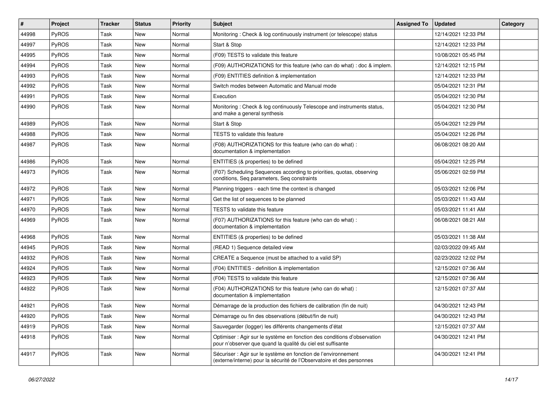| #     | <b>Project</b> | <b>Tracker</b> | <b>Status</b> | Priority | <b>Subject</b>                                                                                                                          | <b>Assigned To</b> | <b>Updated</b>      | Category |
|-------|----------------|----------------|---------------|----------|-----------------------------------------------------------------------------------------------------------------------------------------|--------------------|---------------------|----------|
| 44998 | PyROS          | Task           | New           | Normal   | Monitoring: Check & log continuously instrument (or telescope) status                                                                   |                    | 12/14/2021 12:33 PM |          |
| 44997 | PyROS          | Task           | <b>New</b>    | Normal   | Start & Stop                                                                                                                            |                    | 12/14/2021 12:33 PM |          |
| 44995 | <b>PyROS</b>   | Task           | <b>New</b>    | Normal   | (F09) TESTS to validate this feature                                                                                                    |                    | 10/08/2021 05:45 PM |          |
| 44994 | PyROS          | Task           | New           | Normal   | (F09) AUTHORIZATIONS for this feature (who can do what) : doc & implem.                                                                 |                    | 12/14/2021 12:15 PM |          |
| 44993 | PyROS          | Task           | <b>New</b>    | Normal   | (F09) ENTITIES definition & implementation                                                                                              |                    | 12/14/2021 12:33 PM |          |
| 44992 | PyROS          | Task           | New           | Normal   | Switch modes between Automatic and Manual mode                                                                                          |                    | 05/04/2021 12:31 PM |          |
| 44991 | PyROS          | Task           | <b>New</b>    | Normal   | Execution                                                                                                                               |                    | 05/04/2021 12:30 PM |          |
| 44990 | <b>PyROS</b>   | Task           | New           | Normal   | Monitoring: Check & log continuously Telescope and instruments status,<br>and make a general synthesis                                  |                    | 05/04/2021 12:30 PM |          |
| 44989 | PyROS          | Task           | <b>New</b>    | Normal   | Start & Stop                                                                                                                            |                    | 05/04/2021 12:29 PM |          |
| 44988 | <b>PyROS</b>   | Task           | <b>New</b>    | Normal   | TESTS to validate this feature                                                                                                          |                    | 05/04/2021 12:26 PM |          |
| 44987 | PyROS          | Task           | New           | Normal   | (F08) AUTHORIZATIONS for this feature (who can do what) :<br>documentation & implementation                                             |                    | 06/08/2021 08:20 AM |          |
| 44986 | PyROS          | Task           | New           | Normal   | ENTITIES (& properties) to be defined                                                                                                   |                    | 05/04/2021 12:25 PM |          |
| 44973 | PyROS          | Task           | New           | Normal   | (F07) Scheduling Sequences according to priorities, quotas, observing<br>conditions, Seq parameters, Seq constraints                    |                    | 05/06/2021 02:59 PM |          |
| 44972 | PyROS          | Task           | <b>New</b>    | Normal   | Planning triggers - each time the context is changed                                                                                    |                    | 05/03/2021 12:06 PM |          |
| 44971 | PyROS          | Task           | <b>New</b>    | Normal   | Get the list of sequences to be planned                                                                                                 |                    | 05/03/2021 11:43 AM |          |
| 44970 | <b>PyROS</b>   | Task           | <b>New</b>    | Normal   | TESTS to validate this feature                                                                                                          |                    | 05/03/2021 11:41 AM |          |
| 44969 | <b>PyROS</b>   | Task           | New           | Normal   | (F07) AUTHORIZATIONS for this feature (who can do what):<br>documentation & implementation                                              |                    | 06/08/2021 08:21 AM |          |
| 44968 | PyROS          | Task           | New           | Normal   | ENTITIES (& properties) to be defined                                                                                                   |                    | 05/03/2021 11:38 AM |          |
| 44945 | PyROS          | Task           | <b>New</b>    | Normal   | (READ 1) Sequence detailed view                                                                                                         |                    | 02/03/2022 09:45 AM |          |
| 44932 | <b>PyROS</b>   | Task           | New           | Normal   | CREATE a Sequence (must be attached to a valid SP)                                                                                      |                    | 02/23/2022 12:02 PM |          |
| 44924 | PyROS          | Task           | New           | Normal   | (F04) ENTITIES - definition & implementation                                                                                            |                    | 12/15/2021 07:36 AM |          |
| 44923 | PyROS          | Task           | <b>New</b>    | Normal   | (F04) TESTS to validate this feature                                                                                                    |                    | 12/15/2021 07:36 AM |          |
| 44922 | <b>PyROS</b>   | Task           | New           | Normal   | (F04) AUTHORIZATIONS for this feature (who can do what) :<br>documentation & implementation                                             |                    | 12/15/2021 07:37 AM |          |
| 44921 | <b>PyROS</b>   | Task           | <b>New</b>    | Normal   | Démarrage de la production des fichiers de calibration (fin de nuit)                                                                    |                    | 04/30/2021 12:43 PM |          |
| 44920 | PyROS          | Task           | New           | Normal   | Démarrage ou fin des observations (début/fin de nuit)                                                                                   |                    | 04/30/2021 12:43 PM |          |
| 44919 | PyROS          | Task           | New           | Normal   | Sauvegarder (logger) les différents changements d'état                                                                                  |                    | 12/15/2021 07:37 AM |          |
| 44918 | PyROS          | Task           | New           | Normal   | Optimiser : Agir sur le système en fonction des conditions d'observation<br>pour n'observer que quand la qualité du ciel est suffisante |                    | 04/30/2021 12:41 PM |          |
| 44917 | PyROS          | Task           | New           | Normal   | Sécuriser : Agir sur le système en fonction de l'environnement<br>(externe/interne) pour la sécurité de l'Observatoire et des personnes |                    | 04/30/2021 12:41 PM |          |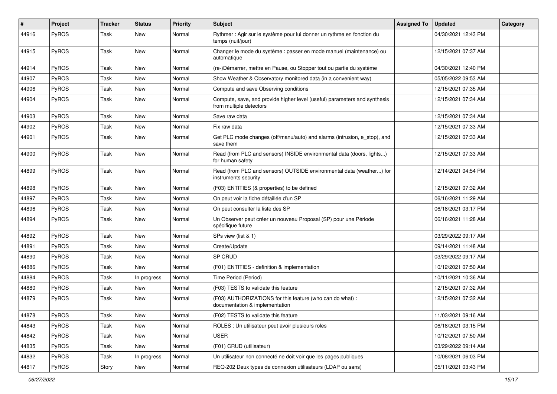| #     | Project      | <b>Tracker</b> | <b>Status</b> | <b>Priority</b> | <b>Subject</b>                                                                                       | <b>Assigned To</b> | <b>Updated</b>      | Category |
|-------|--------------|----------------|---------------|-----------------|------------------------------------------------------------------------------------------------------|--------------------|---------------------|----------|
| 44916 | PyROS        | Task           | <b>New</b>    | Normal          | Rythmer : Agir sur le système pour lui donner un rythme en fonction du<br>temps (nuit/jour)          |                    | 04/30/2021 12:43 PM |          |
| 44915 | PyROS        | Task           | <b>New</b>    | Normal          | Changer le mode du système : passer en mode manuel (maintenance) ou<br>automatique                   |                    | 12/15/2021 07:37 AM |          |
| 44914 | PyROS        | Task           | <b>New</b>    | Normal          | (re-)Démarrer, mettre en Pause, ou Stopper tout ou partie du système                                 |                    | 04/30/2021 12:40 PM |          |
| 44907 | PyROS        | Task           | New           | Normal          | Show Weather & Observatory monitored data (in a convenient way)                                      |                    | 05/05/2022 09:53 AM |          |
| 44906 | PyROS        | Task           | <b>New</b>    | Normal          | Compute and save Observing conditions                                                                |                    | 12/15/2021 07:35 AM |          |
| 44904 | <b>PyROS</b> | Task           | New           | Normal          | Compute, save, and provide higher level (useful) parameters and synthesis<br>from multiple detectors |                    | 12/15/2021 07:34 AM |          |
| 44903 | PyROS        | Task           | <b>New</b>    | Normal          | Save raw data                                                                                        |                    | 12/15/2021 07:34 AM |          |
| 44902 | PyROS        | Task           | New           | Normal          | Fix raw data                                                                                         |                    | 12/15/2021 07:33 AM |          |
| 44901 | <b>PyROS</b> | Task           | New           | Normal          | Get PLC mode changes (off/manu/auto) and alarms (intrusion, e_stop), and<br>save them                |                    | 12/15/2021 07:33 AM |          |
| 44900 | PyROS        | Task           | New           | Normal          | Read (from PLC and sensors) INSIDE environmental data (doors, lights)<br>for human safety            |                    | 12/15/2021 07:33 AM |          |
| 44899 | PyROS        | Task           | New           | Normal          | Read (from PLC and sensors) OUTSIDE environmental data (weather) for<br>instruments security         |                    | 12/14/2021 04:54 PM |          |
| 44898 | PyROS        | Task           | <b>New</b>    | Normal          | (F03) ENTITIES (& properties) to be defined                                                          |                    | 12/15/2021 07:32 AM |          |
| 44897 | <b>PyROS</b> | Task           | New           | Normal          | On peut voir la fiche détaillée d'un SP                                                              |                    | 06/16/2021 11:29 AM |          |
| 44896 | PyROS        | Task           | <b>New</b>    | Normal          | On peut consulter la liste des SP                                                                    |                    | 06/18/2021 03:17 PM |          |
| 44894 | PyROS        | Task           | <b>New</b>    | Normal          | Un Observer peut créer un nouveau Proposal (SP) pour une Période<br>spécifique future                |                    | 06/16/2021 11:28 AM |          |
| 44892 | PyROS        | Task           | <b>New</b>    | Normal          | SPs view (list & 1)                                                                                  |                    | 03/29/2022 09:17 AM |          |
| 44891 | PyROS        | Task           | New           | Normal          | Create/Update                                                                                        |                    | 09/14/2021 11:48 AM |          |
| 44890 | PyROS        | Task           | <b>New</b>    | Normal          | SP CRUD                                                                                              |                    | 03/29/2022 09:17 AM |          |
| 44886 | PyROS        | Task           | <b>New</b>    | Normal          | (F01) ENTITIES - definition & implementation                                                         |                    | 10/12/2021 07:50 AM |          |
| 44884 | PyROS        | Task           | In progress   | Normal          | Time Period (Period)                                                                                 |                    | 10/11/2021 10:36 AM |          |
| 44880 | PyROS        | Task           | New           | Normal          | (F03) TESTS to validate this feature                                                                 |                    | 12/15/2021 07:32 AM |          |
| 44879 | <b>PyROS</b> | Task           | New           | Normal          | (F03) AUTHORIZATIONS for this feature (who can do what) :<br>documentation & implementation          |                    | 12/15/2021 07:32 AM |          |
| 44878 | PyROS        | Task           | New           | Normal          | (F02) TESTS to validate this feature                                                                 |                    | 11/03/2021 09:16 AM |          |
| 44843 | PyROS        | Task           | New           | Normal          | ROLES : Un utilisateur peut avoir plusieurs roles                                                    |                    | 06/18/2021 03:15 PM |          |
| 44842 | PyROS        | Task           | New           | Normal          | <b>USER</b>                                                                                          |                    | 10/12/2021 07:50 AM |          |
| 44835 | PyROS        | Task           | New           | Normal          | (F01) CRUD (utilisateur)                                                                             |                    | 03/29/2022 09:14 AM |          |
| 44832 | PyROS        | Task           | In progress   | Normal          | Un utilisateur non connecté ne doit voir que les pages publiques                                     |                    | 10/08/2021 06:03 PM |          |
| 44817 | PyROS        | Story          | New           | Normal          | REQ-202 Deux types de connexion utilisateurs (LDAP ou sans)                                          |                    | 05/11/2021 03:43 PM |          |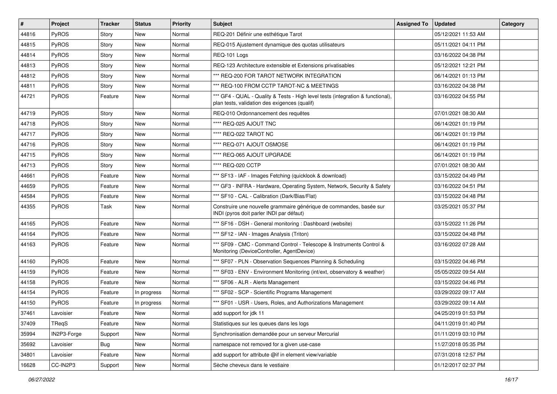| $\vert$ # | Project      | <b>Tracker</b> | <b>Status</b> | <b>Priority</b> | <b>Subject</b>                                                                                                                   | <b>Assigned To</b> | <b>Updated</b>      | Category |
|-----------|--------------|----------------|---------------|-----------------|----------------------------------------------------------------------------------------------------------------------------------|--------------------|---------------------|----------|
| 44816     | PyROS        | Story          | New           | Normal          | REQ-201 Définir une esthétique Tarot                                                                                             |                    | 05/12/2021 11:53 AM |          |
| 44815     | PyROS        | Story          | New           | Normal          | REQ-015 Ajustement dynamique des quotas utilisateurs                                                                             |                    | 05/11/2021 04:11 PM |          |
| 44814     | <b>PyROS</b> | Story          | New           | Normal          | REQ-101 Logs                                                                                                                     |                    | 03/16/2022 04:38 PM |          |
| 44813     | PyROS        | Story          | New           | Normal          | REQ-123 Architecture extensible et Extensions privatisables                                                                      |                    | 05/12/2021 12:21 PM |          |
| 44812     | PyROS        | Story          | <b>New</b>    | Normal          | *** REQ-200 FOR TAROT NETWORK INTEGRATION                                                                                        |                    | 06/14/2021 01:13 PM |          |
| 44811     | PyROS        | Story          | New           | Normal          | *** REQ-100 FROM CCTP TAROT-NC & MEETINGS                                                                                        |                    | 03/16/2022 04:38 PM |          |
| 44721     | PyROS        | Feature        | New           | Normal          | *** GF4 - QUAL - Quality & Tests - High level tests (integration & functional),<br>plan tests, validation des exigences (qualif) |                    | 03/16/2022 04:55 PM |          |
| 44719     | PyROS        | Story          | New           | Normal          | REQ-010 Ordonnancement des requêtes                                                                                              |                    | 07/01/2021 08:30 AM |          |
| 44718     | PyROS        | Story          | New           | Normal          | **** REQ-025 AJOUT TNC                                                                                                           |                    | 06/14/2021 01:19 PM |          |
| 44717     | <b>PyROS</b> | Story          | New           | Normal          | **** REQ-022 TAROT NC                                                                                                            |                    | 06/14/2021 01:19 PM |          |
| 44716     | PyROS        | Story          | New           | Normal          | **** REQ-071 AJOUT OSMOSE                                                                                                        |                    | 06/14/2021 01:19 PM |          |
| 44715     | PyROS        | Story          | New           | Normal          | **** REQ-065 AJOUT UPGRADE                                                                                                       |                    | 06/14/2021 01:19 PM |          |
| 44713     | PyROS        | Story          | New           | Normal          | **** REQ-020 CCTP                                                                                                                |                    | 07/01/2021 08:30 AM |          |
| 44661     | PyROS        | Feature        | New           | Normal          | *** SF13 - IAF - Images Fetching (quicklook & download)                                                                          |                    | 03/15/2022 04:49 PM |          |
| 44659     | PyROS        | Feature        | New           | Normal          | *** GF3 - INFRA - Hardware, Operating System, Network, Security & Safety                                                         |                    | 03/16/2022 04:51 PM |          |
| 44584     | PyROS        | Feature        | New           | Normal          | *** SF10 - CAL - Calibration (Dark/Bias/Flat)                                                                                    |                    | 03/15/2022 04:48 PM |          |
| 44355     | PyROS        | Task           | <b>New</b>    | Normal          | Construire une nouvelle grammaire générique de commandes, basée sur<br>INDI (pyros doit parler INDI par défaut)                  |                    | 03/25/2021 05:37 PM |          |
| 44165     | PyROS        | Feature        | <b>New</b>    | Normal          | *** SF16 - DSH - General monitoring : Dashboard (website)                                                                        |                    | 03/15/2022 11:26 PM |          |
| 44164     | PyROS        | Feature        | New           | Normal          | *** SF12 - IAN - Images Analysis (Triton)                                                                                        |                    | 03/15/2022 04:48 PM |          |
| 44163     | PyROS        | Feature        | New           | Normal          | *** SF09 - CMC - Command Control - Telescope & Instruments Control &<br>Monitoring (DeviceController, AgentDevice)               |                    | 03/16/2022 07:28 AM |          |
| 44160     | PyROS        | Feature        | New           | Normal          | *** SF07 - PLN - Observation Sequences Planning & Scheduling                                                                     |                    | 03/15/2022 04:46 PM |          |
| 44159     | PyROS        | Feature        | New           | Normal          | *** SF03 - ENV - Environment Monitoring (int/ext, observatory & weather)                                                         |                    | 05/05/2022 09:54 AM |          |
| 44158     | PyROS        | Feature        | New           | Normal          | *** SF06 - ALR - Alerts Management                                                                                               |                    | 03/15/2022 04:46 PM |          |
| 44154     | PyROS        | Feature        | In progress   | Normal          | *** SF02 - SCP - Scientific Programs Management                                                                                  |                    | 03/29/2022 09:17 AM |          |
| 44150     | PyROS        | Feature        | In progress   | Normal          | *** SF01 - USR - Users, Roles, and Authorizations Management                                                                     |                    | 03/29/2022 09:14 AM |          |
| 37461     | Lavoisier    | Feature        | New           | Normal          | add support for jdk 11                                                                                                           |                    | 04/25/2019 01:53 PM |          |
| 37409     | TReqS        | Feature        | New           | Normal          | Statistiques sur les queues dans les logs                                                                                        |                    | 04/11/2019 01:40 PM |          |
| 35994     | IN2P3-Forge  | Support        | New           | Normal          | Synchronisation demandée pour un serveur Mercurial                                                                               |                    | 01/11/2019 03:10 PM |          |
| 35692     | Lavoisier    | Bug            | New           | Normal          | namespace not removed for a given use-case                                                                                       |                    | 11/27/2018 05:35 PM |          |
| 34801     | Lavoisier    | Feature        | New           | Normal          | add support for attribute @if in element view/variable                                                                           |                    | 07/31/2018 12:57 PM |          |
| 16628     | CC-IN2P3     | Support        | New           | Normal          | Sèche cheveux dans le vestiaire                                                                                                  |                    | 01/12/2017 02:37 PM |          |